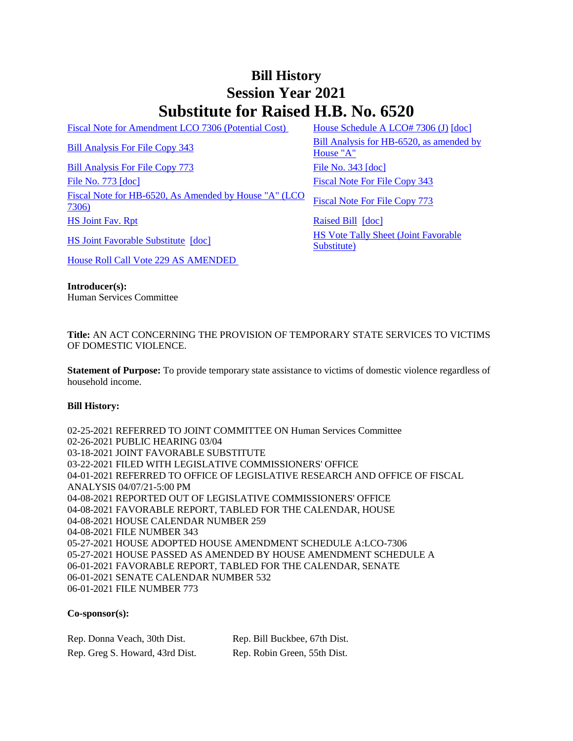## **Bill History Session Year 2021 Substitute for Raised H.B. No. 6520**

[Fiscal Note for Amendment LCO 7306 \(Potential Cost\)](/2021/fna/pdf/2021HB-06520-R00LCO07306-FNA.pdf) [House Schedule A LCO# 7306 \(J\)](/2021/amd/H/pdf/2021HB-06520-R00HA-AMD.pdf) [\[doc\]](https://search.cga.state.ct.us/dl2021/AMd/DOC/2021HB-06520-R00HA-AMD.Docx)

[Bill Analysis For File Copy 773](/2021/BA/PDF/2021HB-06520-R010773-BA.PDF) [File No. 343](/2021/FC/PDF/2021HB-06520-R000343-FC.PDF) [\[doc\]](/2021/FC/PDF/2021HB-06520-R000343-FC.PDF) [File No. 773](/2021/FC/PDF/2021HB-06520-R000773-FC.PDF) [\[doc\]](/2021/FC/PDF/2021HB-06520-R000773-FC.PDF) [Fiscal Note For File Copy 343](/2021/FN/PDF/2021HB-06520-R000343-FN.PDF) [Fiscal Note for HB-6520, As Amended by House "A" \(LCO](/2021/FN/PDF/2021HB-06520-R01-FN.PDF)  Fiscal Note For HB-0320, As American by House A (LCO Fiscal Note For File Copy 773<br>[7306\)](/2021/FN/PDF/2021HB-06520-R01-FN.PDF) [HS Joint Fav. Rpt](/2021/JFR/H/PDF/2021HB-06520-R00HS-JFR.PDF) [Raised Bill](/2021/TOB/H/PDF/2021HB-06520-R00-HB.PDF) [\[doc\]](https://search.cga.state.ct.us/dl2021/TOB/DOC/2021HB-06520-R00-HB.DOCX)

[Bill Analysis For File Copy 343](/2021/BA/PDF/2021HB-06520-R000343-BA.PDF) Bill Analysis for HB-6520, as amended by [House "A"](/2021/BA/PDF/2021HB-06520-R01-BA.PDF)

[HS Joint Favorable Substitute](/2021/TOB/H/PDF/2021HB-06520-R01-HB.PDF) [\[doc\]](https://search.cga.state.ct.us/dl2021/TOB/DOC/2021HB-06520-R01-HB.DOCX) HS Vote Tally Sheet (Joint Favorable [Substitute\)](/2021/TS/H/PDF/2021HB-06520-R00HS-CV41-TS.PDF)

[House Roll Call Vote 229 AS AMENDED](/2021/VOTE/H/PDF/2021HV-00229-R00HB06520-HV.PDF) 

**Introducer(s):** Human Services Committee

**Title:** AN ACT CONCERNING THE PROVISION OF TEMPORARY STATE SERVICES TO VICTIMS OF DOMESTIC VIOLENCE.

**Statement of Purpose:** To provide temporary state assistance to victims of domestic violence regardless of household income.

## **Bill History:**

02-25-2021 REFERRED TO JOINT COMMITTEE ON Human Services Committee 02-26-2021 PUBLIC HEARING 03/04 03-18-2021 JOINT FAVORABLE SUBSTITUTE 03-22-2021 FILED WITH LEGISLATIVE COMMISSIONERS' OFFICE 04-01-2021 REFERRED TO OFFICE OF LEGISLATIVE RESEARCH AND OFFICE OF FISCAL ANALYSIS 04/07/21-5:00 PM 04-08-2021 REPORTED OUT OF LEGISLATIVE COMMISSIONERS' OFFICE 04-08-2021 FAVORABLE REPORT, TABLED FOR THE CALENDAR, HOUSE 04-08-2021 HOUSE CALENDAR NUMBER 259 04-08-2021 FILE NUMBER 343 05-27-2021 HOUSE ADOPTED HOUSE AMENDMENT SCHEDULE A:LCO-7306 05-27-2021 HOUSE PASSED AS AMENDED BY HOUSE AMENDMENT SCHEDULE A 06-01-2021 FAVORABLE REPORT, TABLED FOR THE CALENDAR, SENATE 06-01-2021 SENATE CALENDAR NUMBER 532 06-01-2021 FILE NUMBER 773

## **Co-sponsor(s):**

| Rep. Donna Veach, 30th Dist.    | Rep. Bill Buckbee, 67th Dist. |
|---------------------------------|-------------------------------|
| Rep. Greg S. Howard, 43rd Dist. | Rep. Robin Green, 55th Dist.  |